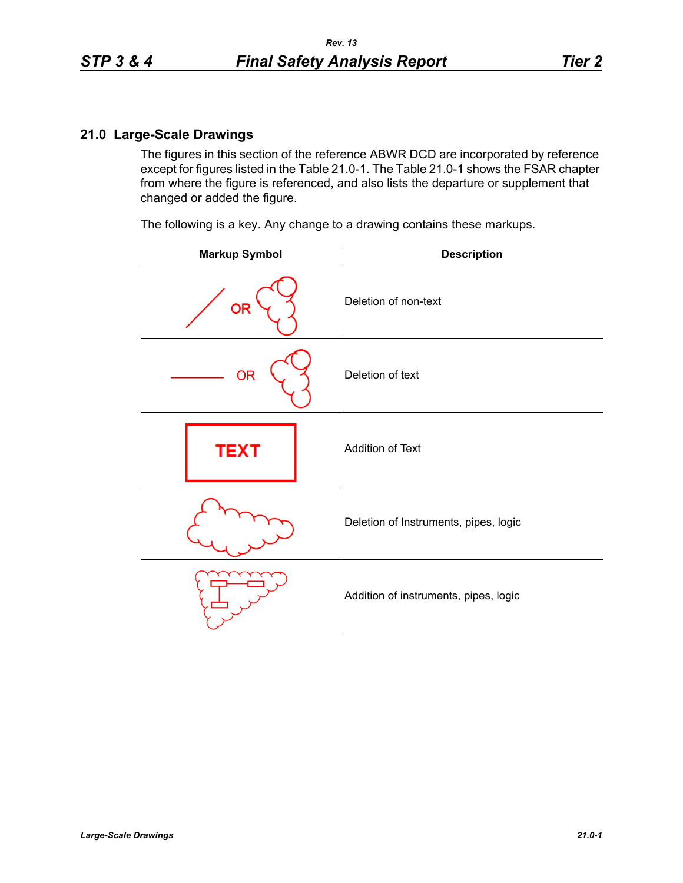## **21.0 Large-Scale Drawings**

The figures in this section of the reference ABWR DCD are incorporated by reference except for figures listed in the Table 21.0-1. The Table 21.0-1 shows the FSAR chapter from where the figure is referenced, and also lists the departure or supplement that changed or added the figure.

The following is a key. Any change to a drawing contains these markups.

| <b>Markup Symbol</b> | <b>Description</b>                    |
|----------------------|---------------------------------------|
| <b>OR</b>            | Deletion of non-text                  |
| <b>OR</b>            | Deletion of text                      |
| <b>TEXT</b>          | Addition of Text                      |
|                      | Deletion of Instruments, pipes, logic |
|                      | Addition of instruments, pipes, logic |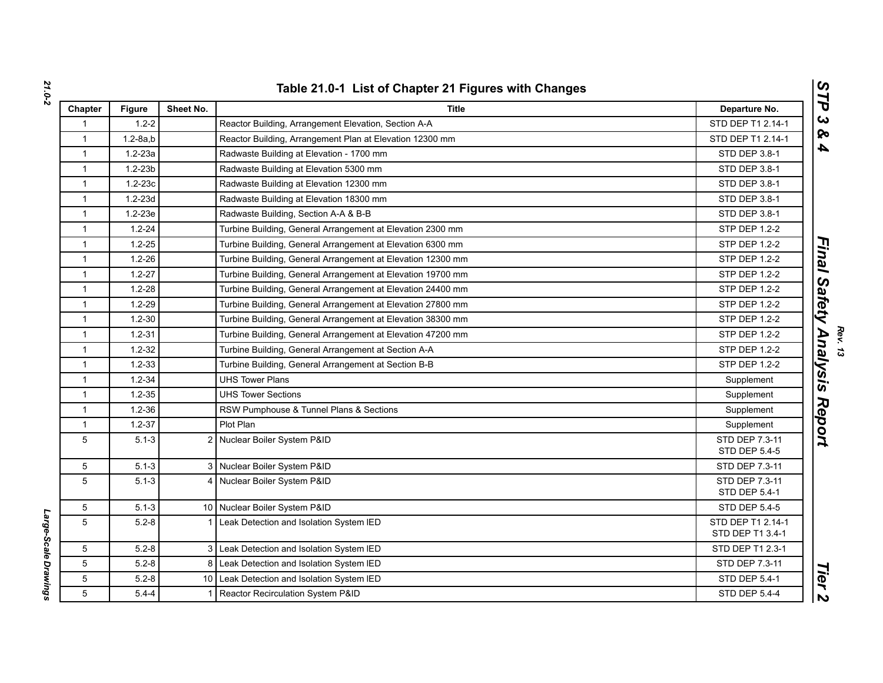| Chapter         | <b>Figure</b> | Sheet No.      | <b>Title</b>                                                | Departure No.                         |
|-----------------|---------------|----------------|-------------------------------------------------------------|---------------------------------------|
| $\mathbf{1}$    | $1.2 - 2$     |                | Reactor Building, Arrangement Elevation, Section A-A        | STD DEP T1 2.14-1                     |
| $\mathbf{1}$    | $1.2 - 8a.b$  |                | Reactor Building, Arrangement Plan at Elevation 12300 mm    | STD DEP T1 2.14-1                     |
| $\mathbf{1}$    | $1.2 - 23a$   |                | Radwaste Building at Elevation - 1700 mm                    | STD DEP 3.8-1                         |
| $\mathbf{1}$    | $1.2 - 23b$   |                | Radwaste Building at Elevation 5300 mm                      | STD DEP 3.8-1                         |
| $\mathbf{1}$    | $1.2 - 23c$   |                | Radwaste Building at Elevation 12300 mm                     | <b>STD DEP 3.8-1</b>                  |
| $\mathbf{1}$    | $1.2 - 23d$   |                | Radwaste Building at Elevation 18300 mm                     | STD DEP 3.8-1                         |
| $\mathbf{1}$    | $1.2 - 23e$   |                | Radwaste Building, Section A-A & B-B                        | STD DEP 3.8-1                         |
| $\mathbf{1}$    | $1.2 - 24$    |                | Turbine Building, General Arrangement at Elevation 2300 mm  | STP DEP 1.2-2                         |
| $\mathbf{1}$    | $1.2 - 25$    |                | Turbine Building, General Arrangement at Elevation 6300 mm  | <b>STP DEP 1.2-2</b>                  |
| $\mathbf{1}$    | $1.2 - 26$    |                | Turbine Building, General Arrangement at Elevation 12300 mm | <b>STP DEP 1.2-2</b>                  |
| $\mathbf{1}$    | $1.2 - 27$    |                | Turbine Building, General Arrangement at Elevation 19700 mm | <b>STP DEP 1.2-2</b>                  |
| $\mathbf{1}$    | $1.2 - 28$    |                | Turbine Building, General Arrangement at Elevation 24400 mm | <b>STP DEP 1.2-2</b>                  |
| $\mathbf{1}$    | $1.2 - 29$    |                | Turbine Building, General Arrangement at Elevation 27800 mm | <b>STP DEP 1.2-2</b>                  |
| $\mathbf{1}$    | $1.2 - 30$    |                | Turbine Building, General Arrangement at Elevation 38300 mm | <b>STP DEP 1.2-2</b>                  |
| $\mathbf{1}$    | $1.2 - 31$    |                | Turbine Building, General Arrangement at Elevation 47200 mm | <b>STP DEP 1.2-2</b>                  |
| $\mathbf{1}$    | $1.2 - 32$    |                | Turbine Building, General Arrangement at Section A-A        | <b>STP DEP 1.2-2</b>                  |
| $\mathbf{1}$    | $1.2 - 33$    |                | Turbine Building, General Arrangement at Section B-B        | <b>STP DEP 1.2-2</b>                  |
| $\mathbf{1}$    | $1.2 - 34$    |                | <b>UHS Tower Plans</b>                                      | Supplement                            |
| $\mathbf{1}$    | $1.2 - 35$    |                | <b>UHS Tower Sections</b>                                   | Supplement                            |
| $\mathbf{1}$    | $1.2 - 36$    |                | RSW Pumphouse & Tunnel Plans & Sections                     | Supplement                            |
| $\mathbf{1}$    | $1.2 - 37$    |                | Plot Plan                                                   | Supplement                            |
| 5               | $5.1 - 3$     |                | 2 Nuclear Boiler System P&ID                                | STD DEP 7.3-11<br>STD DEP 5.4-5       |
| 5               | $5.1 - 3$     |                | 3 Nuclear Boiler System P&ID                                | STD DEP 7.3-11                        |
| 5               | $5.1 - 3$     | 4              | Nuclear Boiler System P&ID                                  | STD DEP 7.3-11<br>STD DEP 5.4-1       |
| 5               | $5.1 - 3$     |                | 10 Nuclear Boiler System P&ID                               | <b>STD DEP 5.4-5</b>                  |
| 5               | $5.2 - 8$     | 1              | Leak Detection and Isolation System IED                     | STD DEP T1 2.14-1<br>STD DEP T1 3.4-1 |
| 5               | $5.2 - 8$     | 3 <sup>1</sup> | Leak Detection and Isolation System IED                     | STD DEP T1 2.3-1                      |
| 5               | $5.2 - 8$     | 8              | Leak Detection and Isolation System IED                     | STD DEP 7.3-11                        |
| $5\phantom{.0}$ | $5.2 - 8$     |                | 10 Leak Detection and Isolation System IED                  | STD DEP 5.4-1                         |
| 5               | $5.4 - 4$     | $\mathbf{1}$   | Reactor Recirculation System P&ID                           | <b>STD DEP 5.4-4</b>                  |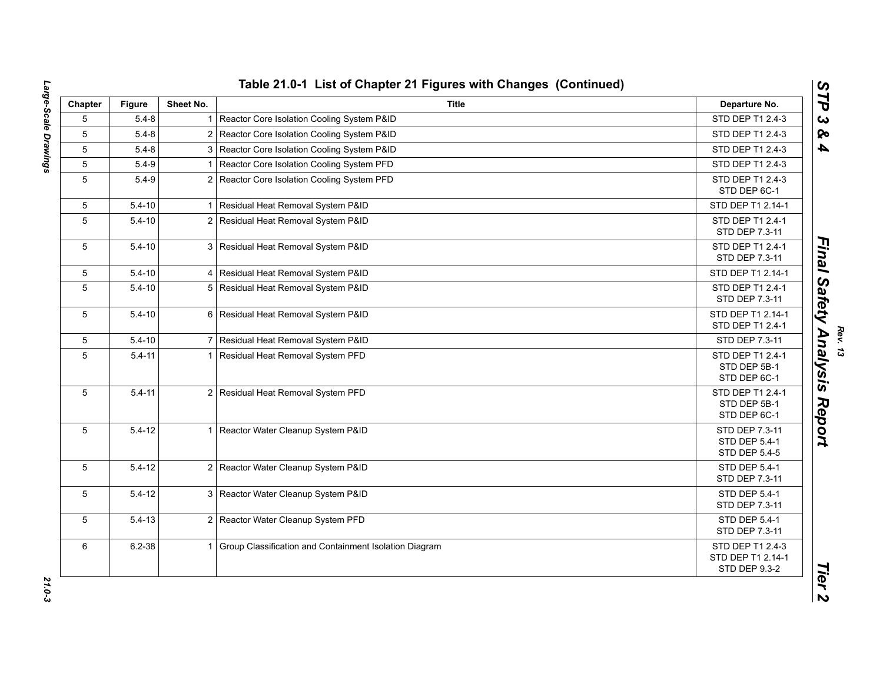| Chapter | <b>Figure</b> | Sheet No.               | <b>Title</b>                                             | Departure No.                                          |
|---------|---------------|-------------------------|----------------------------------------------------------|--------------------------------------------------------|
| 5       | $5.4 - 8$     |                         | 1 Reactor Core Isolation Cooling System P&ID             | STD DEP T1 2.4-3                                       |
| 5       | $5.4 - 8$     |                         | 2 Reactor Core Isolation Cooling System P&ID             | STD DEP T1 2.4-3                                       |
| 5       | $5.4 - 8$     |                         | 3 Reactor Core Isolation Cooling System P&ID             | STD DEP T1 2.4-3                                       |
| 5       | $5.4 - 9$     | $\overline{\mathbf{1}}$ | Reactor Core Isolation Cooling System PFD                | STD DEP T1 2.4-3                                       |
| 5       | $5.4 - 9$     |                         | 2 Reactor Core Isolation Cooling System PFD              | STD DEP T1 2.4-3<br>STD DEP 6C-1                       |
| 5       | $5.4 - 10$    | -1                      | Residual Heat Removal System P&ID                        | STD DEP T1 2.14-1                                      |
| 5       | $5.4 - 10$    |                         | 2 Residual Heat Removal System P&ID                      | STD DEP T1 2.4-1<br>STD DEP 7.3-11                     |
| 5       | $5.4 - 10$    |                         | 3 Residual Heat Removal System P&ID                      | STD DEP T1 2.4-1<br>STD DEP 7.3-11                     |
| 5       | $5.4 - 10$    |                         | 4 Residual Heat Removal System P&ID                      | STD DEP T1 2.14-1                                      |
| 5       | $5.4 - 10$    |                         | 5 Residual Heat Removal System P&ID                      | STD DEP T1 2.4-1<br>STD DEP 7.3-11                     |
| 5       | $5.4 - 10$    |                         | 6 Residual Heat Removal System P&ID                      | STD DEP T1 2.14-1<br>STD DEP T1 2.4-1                  |
| 5       | $5.4 - 10$    |                         | 7 Residual Heat Removal System P&ID                      | STD DEP 7.3-11                                         |
| 5       | $5.4 - 11$    | $\mathbf{1}$            | Residual Heat Removal System PFD                         | STD DEP T1 2.4-1<br>STD DEP 5B-1<br>STD DEP 6C-1       |
| 5       | $5.4 - 11$    |                         | 2 Residual Heat Removal System PFD                       | STD DEP T1 2.4-1<br>STD DEP 5B-1<br>STD DEP 6C-1       |
| 5       | $5.4 - 12$    |                         | 1 Reactor Water Cleanup System P&ID                      | STD DEP 7.3-11<br>STD DEP 5.4-1<br>STD DEP 5.4-5       |
| 5       | $5.4 - 12$    |                         | 2 Reactor Water Cleanup System P&ID                      | STD DEP 5.4-1<br>STD DEP 7.3-11                        |
| 5       | $5.4 - 12$    |                         | 3 Reactor Water Cleanup System P&ID                      | STD DEP 5.4-1<br>STD DEP 7.3-11                        |
| 5       | $5.4 - 13$    |                         | 2 Reactor Water Cleanup System PFD                       | STD DEP 5.4-1<br>STD DEP 7.3-11                        |
| 6       | $6.2 - 38$    |                         | 1 Group Classification and Containment Isolation Diagram | STD DEP T1 2.4-3<br>STD DEP T1 2.14-1<br>STD DEP 9.3-2 |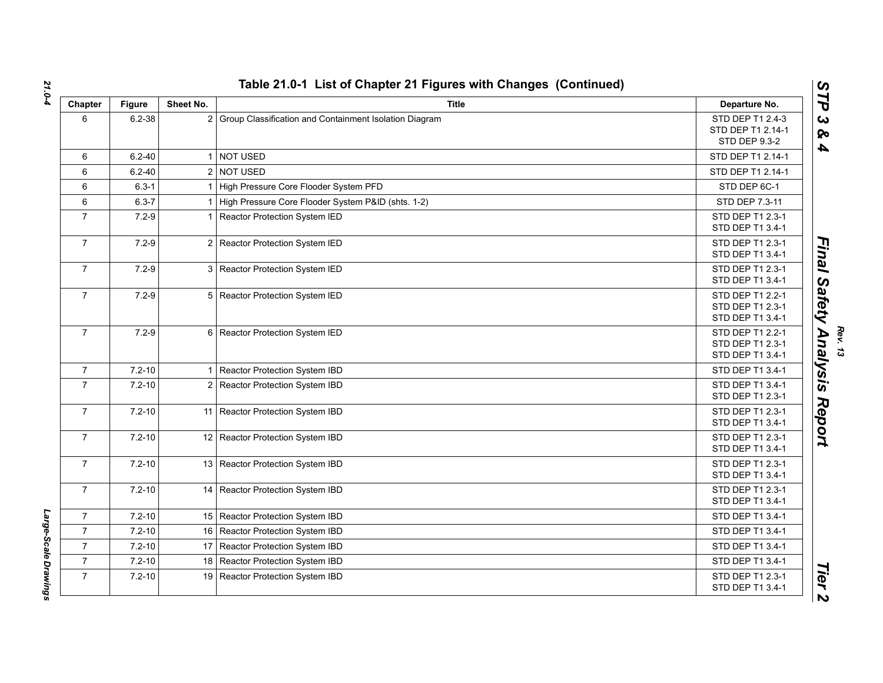| Chapter        | <b>Figure</b> | Sheet No.               | <b>Title</b>                                           | Departure No.                                            |
|----------------|---------------|-------------------------|--------------------------------------------------------|----------------------------------------------------------|
| 6              | $6.2 - 38$    | $\overline{2}$          | Group Classification and Containment Isolation Diagram | STD DEP T1 2.4-3<br>STD DEP T1 2.14-1<br>STD DEP 9.3-2   |
| 6              | $6.2 - 40$    | $\overline{1}$          | <b>NOT USED</b>                                        | STD DEP T1 2.14-1                                        |
| 6              | $6.2 - 40$    |                         | 2 NOT USED                                             | STD DEP T1 2.14-1                                        |
| 6              | $6.3 - 1$     | $\overline{\mathbf{1}}$ | High Pressure Core Flooder System PFD                  | STD DEP 6C-1                                             |
| 6              | $6.3 - 7$     | -1                      | High Pressure Core Flooder System P&ID (shts. 1-2)     | STD DEP 7.3-11                                           |
| $\overline{7}$ | $7.2 - 9$     | $\overline{1}$          | Reactor Protection System IED                          | STD DEP T1 2.3-1<br>STD DEP T1 3.4-1                     |
| $\overline{7}$ | $7.2 - 9$     | $\overline{2}$          | Reactor Protection System IED                          | STD DEP T1 2.3-1<br>STD DEP T1 3.4-1                     |
| $\overline{7}$ | $7.2 - 9$     | 3                       | Reactor Protection System IED                          | STD DEP T1 2.3-1<br>STD DEP T1 3.4-1                     |
| $\overline{7}$ | $7.2 - 9$     |                         | 5 Reactor Protection System IED                        | STD DEP T1 2.2-1<br>STD DEP T1 2.3-1<br>STD DEP T1 3.4-1 |
| $\overline{7}$ | $7.2 - 9$     | 6                       | Reactor Protection System IED                          | STD DEP T1 2.2-1<br>STD DEP T1 2.3-1<br>STD DEP T1 3.4-1 |
| $\overline{7}$ | $7.2 - 10$    | $\mathbf{1}$            | Reactor Protection System IBD                          | STD DEP T1 3.4-1                                         |
| $\overline{7}$ | $7.2 - 10$    | 2 <sup>1</sup>          | Reactor Protection System IBD                          | STD DEP T1 3.4-1<br>STD DEP T1 2.3-1                     |
| $\overline{7}$ | $7.2 - 10$    | 11                      | Reactor Protection System IBD                          | STD DEP T1 2.3-1<br>STD DEP T1 3.4-1                     |
| $\overline{7}$ | $7.2 - 10$    | 12 <sub>1</sub>         | Reactor Protection System IBD                          | STD DEP T1 2.3-1<br>STD DEP T1 3.4-1                     |
| $\overline{7}$ | $7.2 - 10$    |                         | 13 Reactor Protection System IBD                       | STD DEP T1 2.3-1<br>STD DEP T1 3.4-1                     |
| $\overline{7}$ | $7.2 - 10$    |                         | 14 Reactor Protection System IBD                       | STD DEP T1 2.3-1<br>STD DEP T1 3.4-1                     |
| $\overline{7}$ | $7.2 - 10$    |                         | 15 Reactor Protection System IBD                       | STD DEP T1 3.4-1                                         |
| $\overline{7}$ | $7.2 - 10$    | 16                      | Reactor Protection System IBD                          | STD DEP T1 3.4-1                                         |
| $\overline{7}$ | $7.2 - 10$    | 17 <sup>1</sup>         | Reactor Protection System IBD                          | STD DEP T1 3.4-1                                         |
| $\overline{7}$ | $7.2 - 10$    | 18                      | Reactor Protection System IBD                          | STD DEP T1 3.4-1                                         |
| $\overline{7}$ | $7.2 - 10$    | 19                      | Reactor Protection System IBD                          | STD DEP T1 2.3-1<br>STD DEP T1 3.4-1                     |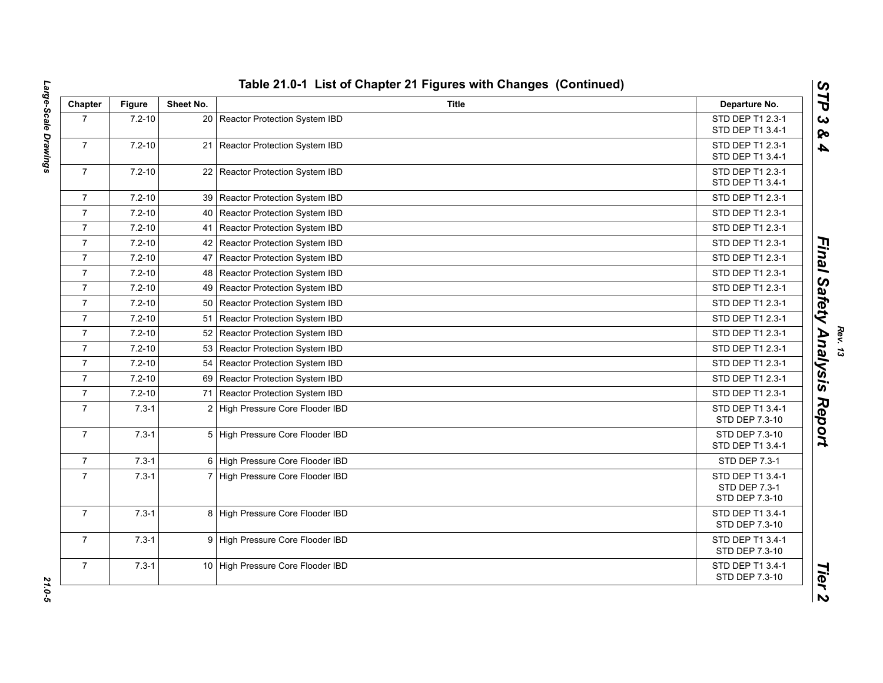| Chapter        | <b>Figure</b> | Sheet No.       | <b>Title</b>                      | Departure No.                                       |
|----------------|---------------|-----------------|-----------------------------------|-----------------------------------------------------|
| $\overline{7}$ | $7.2 - 10$    |                 | 20 Reactor Protection System IBD  | STD DEP T1 2.3-1<br>STD DEP T1 3.4-1                |
| $\overline{7}$ | $7.2 - 10$    | 21 <sup>1</sup> | Reactor Protection System IBD     | STD DEP T1 2.3-1<br>STD DEP T1 3.4-1                |
| $\overline{7}$ | $7.2 - 10$    |                 | 22 Reactor Protection System IBD  | STD DEP T1 2.3-1<br>STD DEP T1 3.4-1                |
| $\overline{7}$ | $7.2 - 10$    |                 | 39 Reactor Protection System IBD  | STD DEP T1 2.3-1                                    |
| $\overline{7}$ | $7.2 - 10$    | 40              | Reactor Protection System IBD     | STD DEP T1 2.3-1                                    |
| $\overline{7}$ | $7.2 - 10$    | 41              | Reactor Protection System IBD     | STD DEP T1 2.3-1                                    |
| $\overline{7}$ | $7.2 - 10$    |                 | 42 Reactor Protection System IBD  | STD DEP T1 2.3-1                                    |
| $\overline{7}$ | $7.2 - 10$    | 47              | Reactor Protection System IBD     | STD DEP T1 2.3-1                                    |
| $\overline{7}$ | $7.2 - 10$    | 48              | Reactor Protection System IBD     | STD DEP T1 2.3-1                                    |
| $\overline{7}$ | $7.2 - 10$    |                 | 49 Reactor Protection System IBD  | STD DEP T1 2.3-1                                    |
| $\overline{7}$ | $7.2 - 10$    |                 | 50 Reactor Protection System IBD  | STD DEP T1 2.3-1                                    |
| $\overline{7}$ | $7.2 - 10$    | 51              | Reactor Protection System IBD     | STD DEP T1 2.3-1                                    |
| $\overline{7}$ | $7.2 - 10$    | 52              | Reactor Protection System IBD     | STD DEP T1 2.3-1                                    |
| $\overline{7}$ | $7.2 - 10$    | 53              | Reactor Protection System IBD     | STD DEP T1 2.3-1                                    |
| $\overline{7}$ | $7.2 - 10$    |                 | 54 Reactor Protection System IBD  | STD DEP T1 2.3-1                                    |
| $\overline{7}$ | $7.2 - 10$    |                 | 69 Reactor Protection System IBD  | STD DEP T1 2.3-1                                    |
| $\overline{7}$ | $7.2 - 10$    | 71              | Reactor Protection System IBD     | STD DEP T1 2.3-1                                    |
| $\overline{7}$ | $7.3 - 1$     | 2               | High Pressure Core Flooder IBD    | STD DEP T1 3.4-1<br>STD DEP 7.3-10                  |
| $\overline{7}$ | $7.3 - 1$     |                 | 5 High Pressure Core Flooder IBD  | STD DEP 7.3-10<br>STD DEP T1 3.4-1                  |
| $\overline{7}$ | $7.3 - 1$     |                 | 6 High Pressure Core Flooder IBD  | STD DEP 7.3-1                                       |
| $\overline{7}$ | $7.3 - 1$     |                 | 7 High Pressure Core Flooder IBD  | STD DEP T1 3.4-1<br>STD DEP 7.3-1<br>STD DEP 7.3-10 |
| $\overline{7}$ | $7.3 - 1$     | 8               | High Pressure Core Flooder IBD    | STD DEP T1 3.4-1<br>STD DEP 7.3-10                  |
| $\overline{7}$ | $7.3 - 1$     |                 | 9 High Pressure Core Flooder IBD  | STD DEP T1 3.4-1<br>STD DEP 7.3-10                  |
| $\overline{7}$ | $7.3 - 1$     |                 | 10 High Pressure Core Flooder IBD | STD DEP T1 3.4-1<br>STD DEP 7.3-10                  |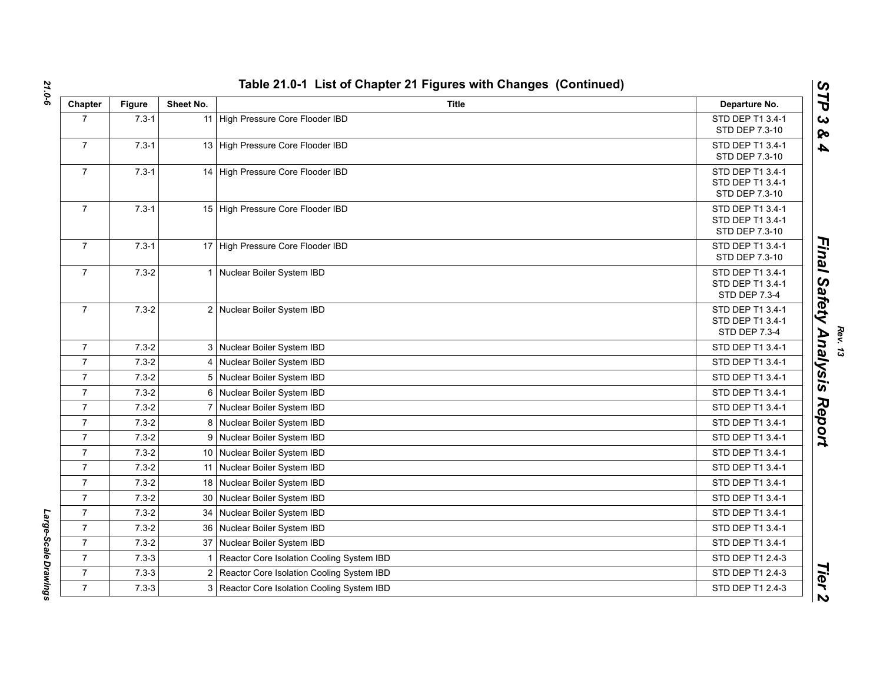| Chapter        | Figure    | Sheet No. | <b>Title</b>                                | Departure No.                                          |
|----------------|-----------|-----------|---------------------------------------------|--------------------------------------------------------|
| $\overline{7}$ | $7.3 - 1$ | 11        | High Pressure Core Flooder IBD              | STD DEP T1 3.4-1<br>STD DEP 7.3-10                     |
| $\overline{7}$ | $7.3 - 1$ |           | 13 High Pressure Core Flooder IBD           | STD DEP T1 3.4-1<br>STD DEP 7.3-10                     |
| $\overline{7}$ | $7.3 - 1$ |           | 14 High Pressure Core Flooder IBD           | STD DEP T1 3.4-1<br>STD DEP T1 3.4-1<br>STD DEP 7.3-10 |
| $\overline{7}$ | $7.3 - 1$ |           | 15 High Pressure Core Flooder IBD           | STD DEP T1 3.4-1<br>STD DEP T1 3.4-1<br>STD DEP 7.3-10 |
| $\overline{7}$ | $7.3 - 1$ |           | 17 High Pressure Core Flooder IBD           | STD DEP T1 3.4-1<br>STD DEP 7.3-10                     |
| $\overline{7}$ | $7.3 - 2$ |           | 1 Nuclear Boiler System IBD                 | STD DEP T1 3.4-1<br>STD DEP T1 3.4-1<br>STD DEP 7.3-4  |
| $\overline{7}$ | $7.3 - 2$ |           | 2 Nuclear Boiler System IBD                 | STD DEP T1 3.4-1<br>STD DEP T1 3.4-1<br>STD DEP 7.3-4  |
| $\overline{7}$ | $7.3 - 2$ |           | 3 Nuclear Boiler System IBD                 | STD DEP T1 3.4-1                                       |
| $\overline{7}$ | $7.3 - 2$ |           | 4 Nuclear Boiler System IBD                 | STD DEP T1 3.4-1                                       |
| $\overline{7}$ | $7.3 - 2$ |           | 5 Nuclear Boiler System IBD                 | STD DEP T1 3.4-1                                       |
| $\overline{7}$ | $7.3 - 2$ |           | 6 Nuclear Boiler System IBD                 | STD DEP T1 3.4-1                                       |
| $\overline{7}$ | $7.3 - 2$ |           | Nuclear Boiler System IBD                   | STD DEP T1 3.4-1                                       |
| $\overline{7}$ | $7.3 - 2$ |           | 8 Nuclear Boiler System IBD                 | STD DEP T1 3.4-1                                       |
| $\overline{7}$ | $7.3 - 2$ |           | 9 Nuclear Boiler System IBD                 | STD DEP T1 3.4-1                                       |
| $\overline{7}$ | $7.3 - 2$ |           | 10 Nuclear Boiler System IBD                | STD DEP T1 3.4-1                                       |
| $\overline{7}$ | $7.3 - 2$ |           | 11 Nuclear Boiler System IBD                | STD DEP T1 3.4-1                                       |
| $\overline{7}$ | $7.3 - 2$ |           | 18 Nuclear Boiler System IBD                | STD DEP T1 3.4-1                                       |
| $\overline{7}$ | $7.3 - 2$ | 30        | Nuclear Boiler System IBD                   | STD DEP T1 3.4-1                                       |
| $\overline{7}$ | $7.3 - 2$ | 34        | Nuclear Boiler System IBD                   | STD DEP T1 3.4-1                                       |
| $\overline{7}$ | $7.3 - 2$ | 36        | Nuclear Boiler System IBD                   | STD DEP T1 3.4-1                                       |
| $\overline{7}$ | $7.3 - 2$ | 37        | Nuclear Boiler System IBD                   | STD DEP T1 3.4-1                                       |
| $\overline{7}$ | $7.3 - 3$ |           | Reactor Core Isolation Cooling System IBD   | STD DEP T1 2.4-3                                       |
| $\overline{7}$ | $7.3 - 3$ |           | 2 Reactor Core Isolation Cooling System IBD | STD DEP T1 2.4-3                                       |
| $\overline{7}$ | $7.3 - 3$ |           | 3 Reactor Core Isolation Cooling System IBD | STD DEP T1 2.4-3                                       |

*Rev. 13*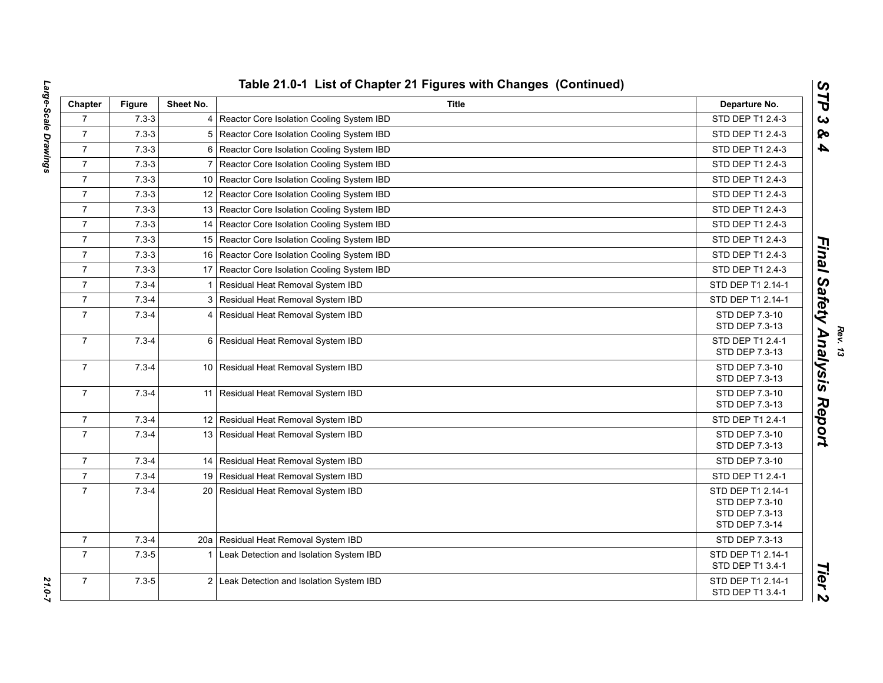| Chapter        | <b>Figure</b> | Sheet No.               | Title                                        | Departure No.                                                           |
|----------------|---------------|-------------------------|----------------------------------------------|-------------------------------------------------------------------------|
| $\overline{7}$ | $7.3 - 3$     |                         | 4 Reactor Core Isolation Cooling System IBD  | STD DEP T1 2.4-3                                                        |
| $\overline{7}$ | $7.3 - 3$     |                         | 5 Reactor Core Isolation Cooling System IBD  | STD DEP T1 2.4-3                                                        |
| $\overline{7}$ | $7.3 - 3$     | 6                       | Reactor Core Isolation Cooling System IBD    | STD DEP T1 2.4-3                                                        |
| $\overline{7}$ | $7.3 - 3$     | $\overline{7}$          | Reactor Core Isolation Cooling System IBD    | STD DEP T1 2.4-3                                                        |
| $\overline{7}$ | $7.3 - 3$     |                         | 10 Reactor Core Isolation Cooling System IBD | STD DEP T1 2.4-3                                                        |
| $\overline{7}$ | $7.3 - 3$     |                         | 12 Reactor Core Isolation Cooling System IBD | STD DEP T1 2.4-3                                                        |
| $\overline{7}$ | $7.3 - 3$     |                         | 13 Reactor Core Isolation Cooling System IBD | STD DEP T1 2.4-3                                                        |
| $\overline{7}$ | $7.3 - 3$     |                         | 14 Reactor Core Isolation Cooling System IBD | STD DEP T1 2.4-3                                                        |
| $\overline{7}$ | $7.3 - 3$     |                         | 15 Reactor Core Isolation Cooling System IBD | STD DEP T1 2.4-3                                                        |
| $\overline{7}$ | $7.3 - 3$     | 16                      | Reactor Core Isolation Cooling System IBD    | STD DEP T1 2.4-3                                                        |
| $\overline{7}$ | $7.3 - 3$     |                         | 17 Reactor Core Isolation Cooling System IBD | STD DEP T1 2.4-3                                                        |
| $\overline{7}$ | $7.3 - 4$     | $\mathbf 1$             | Residual Heat Removal System IBD             | STD DEP T1 2.14-1                                                       |
| $\overline{7}$ | $7.3 - 4$     |                         | 3 Residual Heat Removal System IBD           | STD DEP T1 2.14-1                                                       |
| $\overline{7}$ | $7.3 - 4$     |                         | 4 Residual Heat Removal System IBD           | STD DEP 7.3-10<br>STD DEP 7.3-13                                        |
| $\overline{7}$ | $7.3 - 4$     |                         | 6 Residual Heat Removal System IBD           | STD DEP T1 2.4-1<br>STD DEP 7.3-13                                      |
| $\overline{7}$ | $7.3 - 4$     |                         | 10 Residual Heat Removal System IBD          | STD DEP 7.3-10<br>STD DEP 7.3-13                                        |
| $\overline{7}$ | $7.3 - 4$     |                         | 11 Residual Heat Removal System IBD          | STD DEP 7.3-10<br>STD DEP 7.3-13                                        |
| $\overline{7}$ | $7.3 - 4$     |                         | 12 Residual Heat Removal System IBD          | STD DEP T1 2.4-1                                                        |
| $\overline{7}$ | $7.3 - 4$     |                         | 13 Residual Heat Removal System IBD          | STD DEP 7.3-10<br>STD DEP 7.3-13                                        |
| $\overline{7}$ | $7.3 - 4$     |                         | 14 Residual Heat Removal System IBD          | STD DEP 7.3-10                                                          |
| $\overline{7}$ | $7.3 - 4$     |                         | 19 Residual Heat Removal System IBD          | STD DEP T1 2.4-1                                                        |
| $\overline{7}$ | $7.3 - 4$     |                         | 20 Residual Heat Removal System IBD          | STD DEP T1 2.14-1<br>STD DEP 7.3-10<br>STD DEP 7.3-13<br>STD DEP 7.3-14 |
| $\overline{7}$ | $7.3 - 4$     |                         | 20a   Residual Heat Removal System IBD       | STD DEP 7.3-13                                                          |
| $\overline{7}$ | $7.3 - 5$     | $\overline{\mathbf{1}}$ | Leak Detection and Isolation System IBD      | STD DEP T1 2.14-1<br>STD DEP T1 3.4-1                                   |
| $\overline{7}$ | $7.3 - 5$     |                         | 2 Leak Detection and Isolation System IBD    | STD DEP T1 2.14-1<br>STD DEP T1 3.4-1                                   |

*Large-Scale Drawings 21.0-7* 21.0-7

Large-Scale Drawings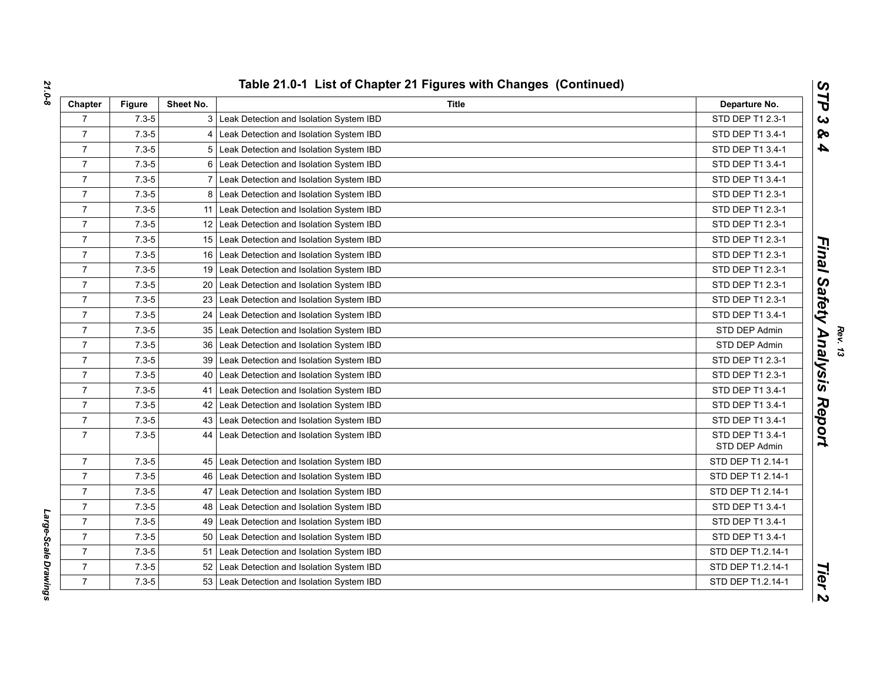| Chapter        | <b>Figure</b> | Sheet No.       | Title                                        | Departure No.                     |
|----------------|---------------|-----------------|----------------------------------------------|-----------------------------------|
| $\overline{7}$ | $7.3 - 5$     |                 | 3 Leak Detection and Isolation System IBD    | STD DEP T1 2.3-1                  |
| $\overline{7}$ | $7.3 - 5$     |                 | 4 Leak Detection and Isolation System IBD    | STD DEP T1 3.4-1                  |
| $\overline{7}$ | $7.3 - 5$     |                 | 5 Leak Detection and Isolation System IBD    | STD DEP T1 3.4-1                  |
| $\overline{7}$ | $7.3 - 5$     |                 | 6 Leak Detection and Isolation System IBD    | STD DEP T1 3.4-1                  |
| $\overline{7}$ | $7.3 - 5$     |                 | 7 Leak Detection and Isolation System IBD    | STD DEP T1 3.4-1                  |
| $\overline{7}$ | $7.3 - 5$     |                 | 8 Leak Detection and Isolation System IBD    | STD DEP T1 2.3-1                  |
| $\overline{7}$ | $7.3 - 5$     |                 | 11 Leak Detection and Isolation System IBD   | STD DEP T1 2.3-1                  |
| $\overline{7}$ | $7.3 - 5$     |                 | 12 Leak Detection and Isolation System IBD   | STD DEP T1 2.3-1                  |
| $\overline{7}$ | $7.3 - 5$     |                 | 15 Leak Detection and Isolation System IBD   | STD DEP T1 2.3-1                  |
| $\overline{7}$ | $7.3 - 5$     |                 | 16 Leak Detection and Isolation System IBD   | STD DEP T1 2.3-1                  |
| $\overline{7}$ | $7.3 - 5$     |                 | 19 Leak Detection and Isolation System IBD   | STD DEP T1 2.3-1                  |
| $\overline{7}$ | $7.3 - 5$     |                 | 20 Leak Detection and Isolation System IBD   | STD DEP T1 2.3-1                  |
| $\overline{7}$ | $7.3 - 5$     |                 | 23 Leak Detection and Isolation System IBD   | STD DEP T1 2.3-1                  |
| $\overline{7}$ | $7.3 - 5$     |                 | 24 Leak Detection and Isolation System IBD   | STD DEP T1 3.4-1                  |
| $\overline{7}$ | $7.3 - 5$     |                 | 35 Leak Detection and Isolation System IBD   | STD DEP Admin                     |
| $\overline{7}$ | $7.3 - 5$     | 36 <sup>°</sup> | Leak Detection and Isolation System IBD      | STD DEP Admin                     |
| $\overline{7}$ | $7.3 - 5$     | 39 <sub>1</sub> | Leak Detection and Isolation System IBD      | STD DEP T1 2.3-1                  |
| $\overline{7}$ | $7.3 - 5$     |                 | 40   Leak Detection and Isolation System IBD | STD DEP T1 2.3-1                  |
| $\overline{7}$ | $7.3 - 5$     |                 | 41 Leak Detection and Isolation System IBD   | STD DEP T1 3.4-1                  |
| $\overline{7}$ | $7.3 - 5$     |                 | 42 Leak Detection and Isolation System IBD   | STD DEP T1 3.4-1                  |
| $\overline{7}$ | $7.3 - 5$     |                 | 43 Leak Detection and Isolation System IBD   | STD DEP T1 3.4-1                  |
| $\overline{7}$ | $7.3 - 5$     | 44              | Leak Detection and Isolation System IBD      | STD DEP T1 3.4-1<br>STD DEP Admin |
| $\overline{7}$ | $7.3 - 5$     |                 | 45 Leak Detection and Isolation System IBD   | STD DEP T1 2.14-1                 |
| $\overline{7}$ | $7.3 - 5$     |                 | 46   Leak Detection and Isolation System IBD | STD DEP T1 2.14-1                 |
| $\overline{7}$ | $7.3 - 5$     | 47              | Leak Detection and Isolation System IBD      | STD DEP T1 2.14-1                 |
| $\overline{7}$ | $7.3 - 5$     |                 | 48 Leak Detection and Isolation System IBD   | STD DEP T1 3.4-1                  |
| $\overline{7}$ | $7.3 - 5$     |                 | 49   Leak Detection and Isolation System IBD | STD DEP T1 3.4-1                  |
| $\overline{7}$ | $7.3 - 5$     |                 | 50 Leak Detection and Isolation System IBD   | STD DEP T1 3.4-1                  |
| $\overline{7}$ | $7.3 - 5$     |                 | 51 Leak Detection and Isolation System IBD   | STD DEP T1.2.14-1                 |
| $\overline{7}$ | $7.3 - 5$     |                 | 52 Leak Detection and Isolation System IBD   | STD DEP T1.2.14-1                 |
| $\overline{7}$ | $7.3 - 5$     |                 | 53 Leak Detection and Isolation System IBD   | STD DEP T1.2.14-1                 |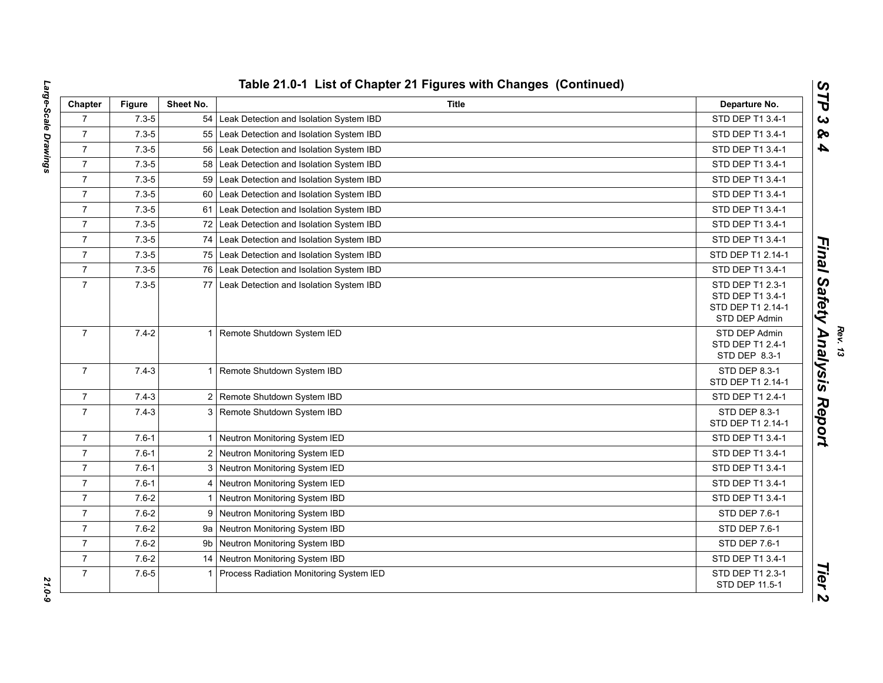| Chapter        | <b>Figure</b> | Sheet No. | <b>Title</b>                               | Departure No.                                                              |
|----------------|---------------|-----------|--------------------------------------------|----------------------------------------------------------------------------|
| $\overline{7}$ | $7.3 - 5$     | 54        | Leak Detection and Isolation System IBD    | STD DEP T1 3.4-1                                                           |
| $\overline{7}$ | $7.3 - 5$     | 55        | Leak Detection and Isolation System IBD    | STD DEP T1 3.4-1                                                           |
| $\overline{7}$ | $7.3 - 5$     | 56        | Leak Detection and Isolation System IBD    | STD DEP T1 3.4-1                                                           |
| $\overline{7}$ | $7.3 - 5$     | 58        | Leak Detection and Isolation System IBD    | STD DEP T1 3.4-1                                                           |
| $\overline{7}$ | $7.3 - 5$     | 59        | Leak Detection and Isolation System IBD    | STD DEP T1 3.4-1                                                           |
| $\overline{7}$ | $7.3 - 5$     | 60        | Leak Detection and Isolation System IBD    | STD DEP T1 3.4-1                                                           |
| $\overline{7}$ | $7.3 - 5$     | 61        | Leak Detection and Isolation System IBD    | STD DEP T1 3.4-1                                                           |
| $\overline{7}$ | $7.3 - 5$     | 72        | Leak Detection and Isolation System IBD    | STD DEP T1 3.4-1                                                           |
| $\overline{7}$ | $7.3 - 5$     | 74        | Leak Detection and Isolation System IBD    | STD DEP T1 3.4-1                                                           |
| $\overline{7}$ | $7.3 - 5$     |           | 75 Leak Detection and Isolation System IBD | STD DEP T1 2.14-1                                                          |
| $\overline{7}$ | $7.3 - 5$     |           | 76 Leak Detection and Isolation System IBD | STD DEP T1 3.4-1                                                           |
| $\overline{7}$ | $7.3 - 5$     | 77        | Leak Detection and Isolation System IBD    | STD DEP T1 2.3-1<br>STD DEP T1 3.4-1<br>STD DEP T1 2.14-1<br>STD DEP Admin |
| $\overline{7}$ | $7.4 - 2$     | -1        | Remote Shutdown System IED                 | STD DEP Admin<br>STD DEP T1 2.4-1<br>STD DEP 8.3-1                         |
| $\overline{7}$ | $7.4 - 3$     |           | Remote Shutdown System IBD                 | STD DEP 8.3-1<br>STD DEP T1 2.14-1                                         |
| $\overline{7}$ | $7.4 - 3$     |           | 2 Remote Shutdown System IBD               | STD DEP T1 2.4-1                                                           |
| $\overline{7}$ | $7.4 - 3$     |           | 3 Remote Shutdown System IBD               | <b>STD DEP 8.3-1</b><br>STD DEP T1 2.14-1                                  |
| $\overline{7}$ | $7.6 - 1$     |           | Neutron Monitoring System IED              | STD DEP T1 3.4-1                                                           |
| $\overline{7}$ | $7.6 - 1$     |           | 2 Neutron Monitoring System IED            | STD DEP T1 3.4-1                                                           |
| $\overline{7}$ | $7.6 - 1$     |           | 3 Neutron Monitoring System IED            | STD DEP T1 3.4-1                                                           |
| $\overline{7}$ | $7.6 - 1$     |           | 4 Neutron Monitoring System IED            | STD DEP T1 3.4-1                                                           |
| $\overline{7}$ | $7.6 - 2$     |           | Neutron Monitoring System IBD              | STD DEP T1 3.4-1                                                           |
| $\overline{7}$ | $7.6 - 2$     | 9         | Neutron Monitoring System IBD              | STD DEP 7.6-1                                                              |
| $\overline{7}$ | $7.6 - 2$     |           | 9a Neutron Monitoring System IBD           | STD DEP 7.6-1                                                              |
| $\overline{7}$ | $7.6 - 2$     | 9b        | Neutron Monitoring System IBD              | STD DEP 7.6-1                                                              |
| $\overline{7}$ | $7.6 - 2$     |           | 14 Neutron Monitoring System IBD           | STD DEP T1 3.4-1                                                           |
| $\overline{7}$ | $7.6 - 5$     |           | Process Radiation Monitoring System IED    | STD DEP T1 2.3-1<br>STD DEP 11.5-1                                         |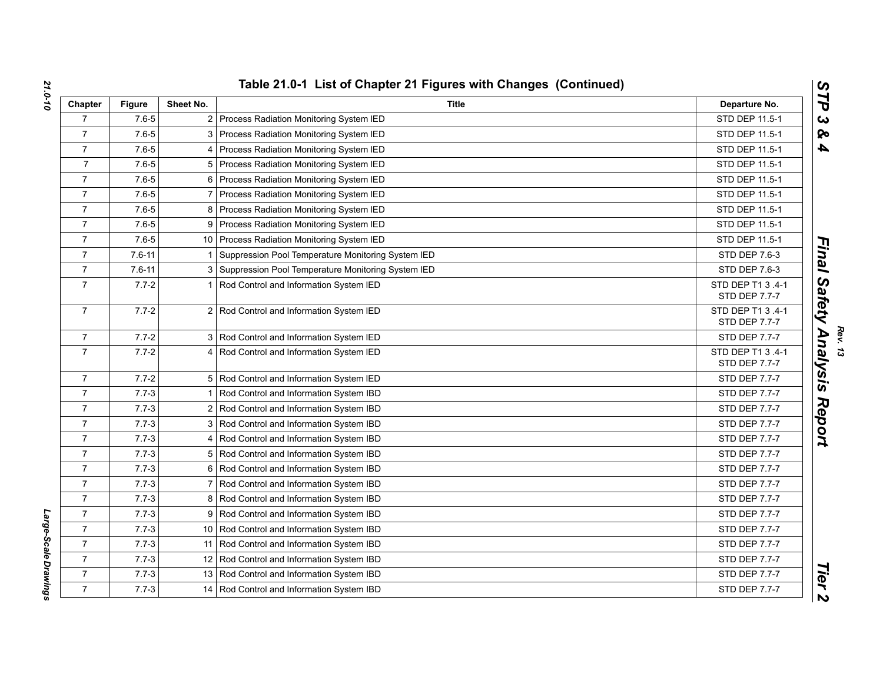| Chapter          | <b>Figure</b> | Sheet No.      | <b>Title</b>                                         | Departure No.                      |
|------------------|---------------|----------------|------------------------------------------------------|------------------------------------|
| $\overline{7}$   | $7.6 - 5$     | $\overline{2}$ | Process Radiation Monitoring System IED              | STD DEP 11.5-1                     |
| $\overline{7}$   | $7.6 - 5$     | 3              | Process Radiation Monitoring System IED              | STD DEP 11.5-1                     |
| $\overline{7}$   | $7.6 - 5$     |                | Process Radiation Monitoring System IED              | STD DEP 11.5-1                     |
| $\overline{7}$   | $7.6 - 5$     |                | 5 Process Radiation Monitoring System IED            | STD DEP 11.5-1                     |
| $\overline{7}$   | $7.6 - 5$     |                | 6 Process Radiation Monitoring System IED            | STD DEP 11.5-1                     |
| $\overline{7}$   | $7.6 - 5$     |                | Process Radiation Monitoring System IED              | STD DEP 11.5-1                     |
| $\overline{7}$   | $7.6 - 5$     |                | 8 Process Radiation Monitoring System IED            | STD DEP 11.5-1                     |
| $\overline{7}$   | $7.6 - 5$     | 9              | Process Radiation Monitoring System IED              | STD DEP 11.5-1                     |
| $\overline{7}$   | $7.6 - 5$     |                | 10 Process Radiation Monitoring System IED           | STD DEP 11.5-1                     |
| $\overline{7}$   | $7.6 - 11$    |                | Suppression Pool Temperature Monitoring System IED   | STD DEP 7.6-3                      |
| $\overline{7}$   | $7.6 - 11$    |                | 3 Suppression Pool Temperature Monitoring System IED | STD DEP 7.6-3                      |
| $\overline{7}$   | $7.7 - 2$     |                | Rod Control and Information System IED               | STD DEP T1 3 .4-1<br>STD DEP 7.7-7 |
| $\overline{7}$   | $7.7 - 2$     |                | 2 Rod Control and Information System IED             | STD DEP T1 3 .4-1<br>STD DEP 7.7-7 |
| $\overline{7}$   | $7.7 - 2$     | 3 I            | Rod Control and Information System IED               | STD DEP 7.7-7                      |
| $\overline{7}$   | $7.7 - 2$     |                | Rod Control and Information System IED               | STD DEP T1 3 .4-1<br>STD DEP 7.7-7 |
| $\overline{7}$   | $7.7 - 2$     |                | 5 Rod Control and Information System IED             | STD DEP 7.7-7                      |
| $\overline{7}$   | $7.7 - 3$     |                | Rod Control and Information System IBD               | STD DEP 7.7-7                      |
| $\overline{7}$   | $7.7 - 3$     |                | 2 Rod Control and Information System IBD             | STD DEP 7.7-7                      |
| $\overline{7}$   | $7.7 - 3$     |                | 3 Rod Control and Information System IBD             | STD DEP 7.7-7                      |
| $\overline{7}$   | $7.7 - 3$     |                | Rod Control and Information System IBD               | STD DEP 7.7-7                      |
| $\overline{7}$   | $7.7 - 3$     |                | 5 Rod Control and Information System IBD             | STD DEP 7.7-7                      |
| $\overline{7}$   | $7.7 - 3$     |                | 6 Rod Control and Information System IBD             | STD DEP 7.7-7                      |
| $\overline{7}$   | $7.7 - 3$     |                | 7 Rod Control and Information System IBD             | STD DEP 7.7-7                      |
| $\overline{7}$   | $7.7 - 3$     |                | 8 Rod Control and Information System IBD             | STD DEP 7.7-7                      |
| $\boldsymbol{7}$ | $7.7 - 3$     |                | 9 Rod Control and Information System IBD             | STD DEP 7.7-7                      |
| $\overline{7}$   | $7.7 - 3$     |                | 10 Rod Control and Information System IBD            | STD DEP 7.7-7                      |
| $\overline{7}$   | $7.7 - 3$     |                | 11 Rod Control and Information System IBD            | <b>STD DEP 7.7-7</b>               |
| $\overline{7}$   | $7.7 - 3$     |                | 12 Rod Control and Information System IBD            | STD DEP 7.7-7                      |
| $\overline{7}$   | $7.7 - 3$     |                | 13 Rod Control and Information System IBD            | STD DEP 7.7-7                      |
| $\overline{7}$   | $7.7 - 3$     |                | 14   Rod Control and Information System IBD          | <b>STD DEP 7.7-7</b>               |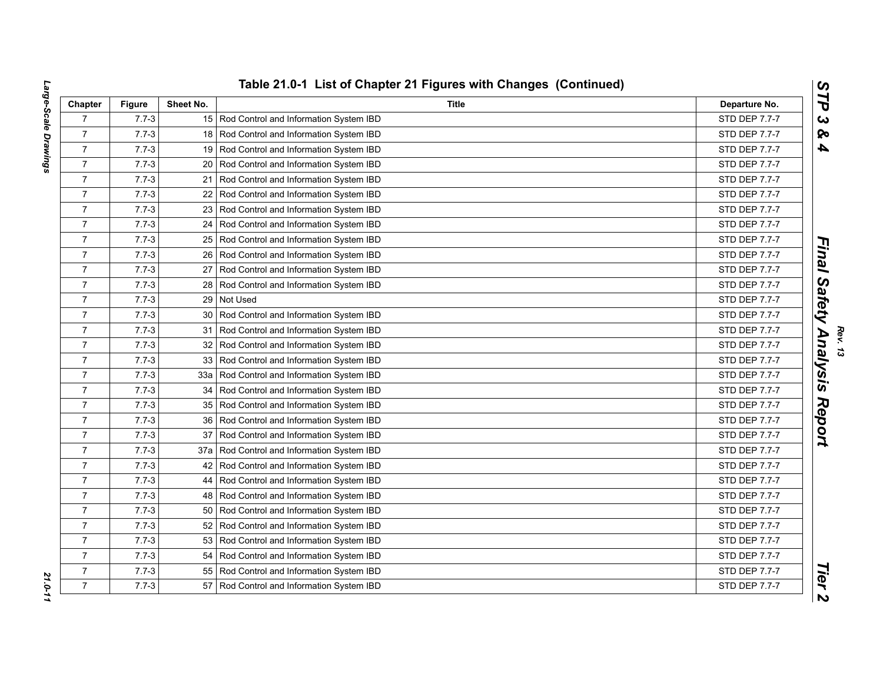| Chapter        | Figure    | Sheet No. | <b>Title</b>                               | Departure No.        |
|----------------|-----------|-----------|--------------------------------------------|----------------------|
| $\overline{7}$ | $7.7 - 3$ |           | 15 Rod Control and Information System IBD  | STD DEP 7.7-7        |
| $\overline{7}$ | $7.7 - 3$ |           | 18 Rod Control and Information System IBD  | STD DEP 7.7-7        |
| $\overline{7}$ | $7.7 - 3$ |           | 19 Rod Control and Information System IBD  | STD DEP 7.7-7        |
| $\overline{7}$ | $7.7 - 3$ |           | 20 Rod Control and Information System IBD  | STD DEP 7.7-7        |
| $\overline{7}$ | $7.7 - 3$ |           | 21 Rod Control and Information System IBD  | STD DEP 7.7-7        |
| $\overline{7}$ | $7.7 - 3$ |           | 22 Rod Control and Information System IBD  | STD DEP 7.7-7        |
| $\overline{7}$ | $7.7 - 3$ |           | 23 Rod Control and Information System IBD  | STD DEP 7.7-7        |
| $\overline{7}$ | $7.7 - 3$ |           | 24 Rod Control and Information System IBD  | STD DEP 7.7-7        |
| $\overline{7}$ | $7.7 - 3$ |           | 25 Rod Control and Information System IBD  | STD DEP 7.7-7        |
| $\overline{7}$ | $7.7 - 3$ |           | 26 Rod Control and Information System IBD  | STD DEP 7.7-7        |
| $\overline{7}$ | $7.7 - 3$ |           | 27 Rod Control and Information System IBD  | STD DEP 7.7-7        |
| $\overline{7}$ | $7.7 - 3$ |           | 28 Rod Control and Information System IBD  | STD DEP 7.7-7        |
| $\overline{7}$ | $7.7 - 3$ |           | 29 Not Used                                | <b>STD DEP 7.7-7</b> |
| $\overline{7}$ | $7.7 - 3$ |           | 30 Rod Control and Information System IBD  | STD DEP 7.7-7        |
| $\overline{7}$ | $7.7 - 3$ |           | 31 Rod Control and Information System IBD  | <b>STD DEP 7.7-7</b> |
| $\overline{7}$ | $7.7 - 3$ |           | 32 Rod Control and Information System IBD  | STD DEP 7.7-7        |
| $\overline{7}$ | $7.7 - 3$ |           | 33 Rod Control and Information System IBD  | <b>STD DEP 7.7-7</b> |
| $\overline{7}$ | $7.7 - 3$ |           | 33a Rod Control and Information System IBD | STD DEP 7.7-7        |
| $\overline{7}$ | $7.7 - 3$ |           | 34 Rod Control and Information System IBD  | STD DEP 7.7-7        |
| $\overline{7}$ | $7.7 - 3$ |           | 35 Rod Control and Information System IBD  | <b>STD DEP 7.7-7</b> |
| $\overline{7}$ | $7.7 - 3$ |           | 36 Rod Control and Information System IBD  | STD DEP 7.7-7        |
| $\overline{7}$ | $7.7 - 3$ |           | 37 Rod Control and Information System IBD  | <b>STD DEP 7.7-7</b> |
| $\overline{7}$ | $7.7 - 3$ |           | 37a Rod Control and Information System IBD | STD DEP 7.7-7        |
| $\overline{7}$ | $7.7 - 3$ |           | 42 Rod Control and Information System IBD  | STD DEP 7.7-7        |
| $\overline{7}$ | $7.7 - 3$ |           | 44 Rod Control and Information System IBD  | <b>STD DEP 7.7-7</b> |
| $\overline{7}$ | $7.7 - 3$ |           | 48 Rod Control and Information System IBD  | STD DEP 7.7-7        |
| $\overline{7}$ | $7.7 - 3$ |           | 50 Rod Control and Information System IBD  | STD DEP 7.7-7        |
| $\overline{7}$ | $7.7 - 3$ |           | 52 Rod Control and Information System IBD  | <b>STD DEP 7.7-7</b> |
| $\overline{7}$ | $7.7 - 3$ |           | 53 Rod Control and Information System IBD  | STD DEP 7.7-7        |
| $\overline{7}$ | $7.7 - 3$ |           | 54 Rod Control and Information System IBD  | STD DEP 7.7-7        |
| $\overline{7}$ | $7.7 - 3$ | 55        | Rod Control and Information System IBD     | STD DEP 7.7-7        |
| $\overline{7}$ | $7.7 - 3$ |           | 57 Rod Control and Information System IBD  | <b>STD DEP 7.7-7</b> |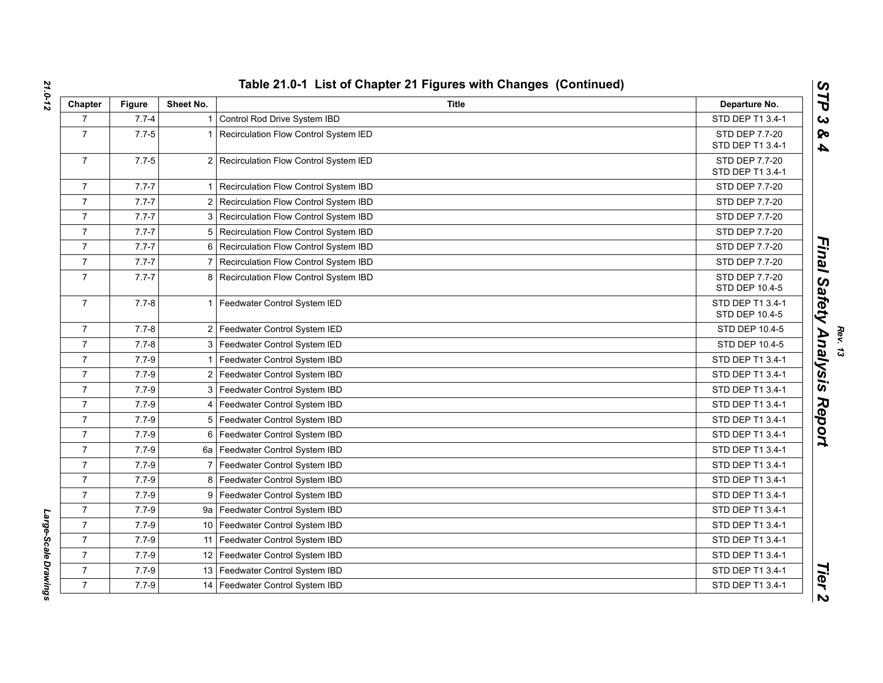| Chapter          | <b>Figure</b> | Sheet No. | <b>Title</b>                            | Departure No.                      |
|------------------|---------------|-----------|-----------------------------------------|------------------------------------|
| $\overline{7}$   | $7.7 - 4$     |           | Control Rod Drive System IBD            | STD DEP T1 3.4-1                   |
| $\overline{7}$   | $7.7 - 5$     |           | Recirculation Flow Control System IED   | STD DEP 7.7-20<br>STD DEP T1 3.4-1 |
| $\overline{7}$   | $7.7 - 5$     |           | 2 Recirculation Flow Control System IED | STD DEP 7.7-20<br>STD DEP T1 3.4-1 |
| $\overline{7}$   | $7.7 - 7$     |           | Recirculation Flow Control System IBD   | STD DEP 7.7-20                     |
| $\overline{7}$   | $7.7 - 7$     |           | Recirculation Flow Control System IBD   | STD DEP 7.7-20                     |
| $\overline{7}$   | $7.7 - 7$     | 3         | Recirculation Flow Control System IBD   | STD DEP 7.7-20                     |
| $\overline{7}$   | $7.7 - 7$     | 5         | Recirculation Flow Control System IBD   | STD DEP 7.7-20                     |
| $\overline{7}$   | $7.7 - 7$     |           | Recirculation Flow Control System IBD   | STD DEP 7.7-20                     |
| $\overline{7}$   | $7.7 - 7$     |           | Recirculation Flow Control System IBD   | STD DEP 7.7-20                     |
| $\overline{7}$   | $7.7 - 7$     | 8         | Recirculation Flow Control System IBD   | STD DEP 7.7-20<br>STD DEP 10.4-5   |
| $\overline{7}$   | $7.7 - 8$     |           | Feedwater Control System IED            | STD DEP T1 3.4-1<br>STD DEP 10.4-5 |
| $\overline{7}$   | $7.7 - 8$     |           | 2 Feedwater Control System IED          | STD DEP 10.4-5                     |
| $\overline{7}$   | $7.7 - 8$     | 3         | Feedwater Control System IED            | STD DEP 10.4-5                     |
| $\overline{7}$   | $7.7 - 9$     |           | Feedwater Control System IBD            | STD DEP T1 3.4-1                   |
| $\overline{7}$   | $7.7 - 9$     |           | 2 Feedwater Control System IBD          | STD DEP T1 3.4-1                   |
| $\overline{7}$   | $7.7 - 9$     | 3         | Feedwater Control System IBD            | STD DEP T1 3.4-1                   |
| $\overline{7}$   | $7.7 - 9$     |           | Feedwater Control System IBD            | STD DEP T1 3.4-1                   |
| $\overline{7}$   | $7.7 - 9$     | 5         | Feedwater Control System IBD            | STD DEP T1 3.4-1                   |
| $\overline{7}$   | $7.7 - 9$     | 6         | Feedwater Control System IBD            | STD DEP T1 3.4-1                   |
| $\overline{7}$   | $7.7 - 9$     | 6a        | Feedwater Control System IBD            | STD DEP T1 3.4-1                   |
| $\overline{7}$   | $7.7 - 9$     |           | Feedwater Control System IBD            | STD DEP T1 3.4-1                   |
| $\overline{7}$   | $7.7 - 9$     | 8         | Feedwater Control System IBD            | STD DEP T1 3.4-1                   |
| $\overline{7}$   | $7.7 - 9$     | 9         | Feedwater Control System IBD            | STD DEP T1 3.4-1                   |
| $\overline{7}$   | $7.7 - 9$     | 9а        | Feedwater Control System IBD            | STD DEP T1 3.4-1                   |
| $\overline{7}$   | $7.7 - 9$     | 10        | Feedwater Control System IBD            | STD DEP T1 3.4-1                   |
| $\overline{7}$   | $7.7 - 9$     | 11        | Feedwater Control System IBD            | STD DEP T1 3.4-1                   |
| $\boldsymbol{7}$ | $7.7 - 9$     | 12        | Feedwater Control System IBD            | STD DEP T1 3.4-1                   |
| $\overline{7}$   | $7.7 - 9$     | 13        | Feedwater Control System IBD            | STD DEP T1 3.4-1                   |
| $\overline{7}$   | $7.7 - 9$     | 14        | Feedwater Control System IBD            | STD DEP T1 3.4-1                   |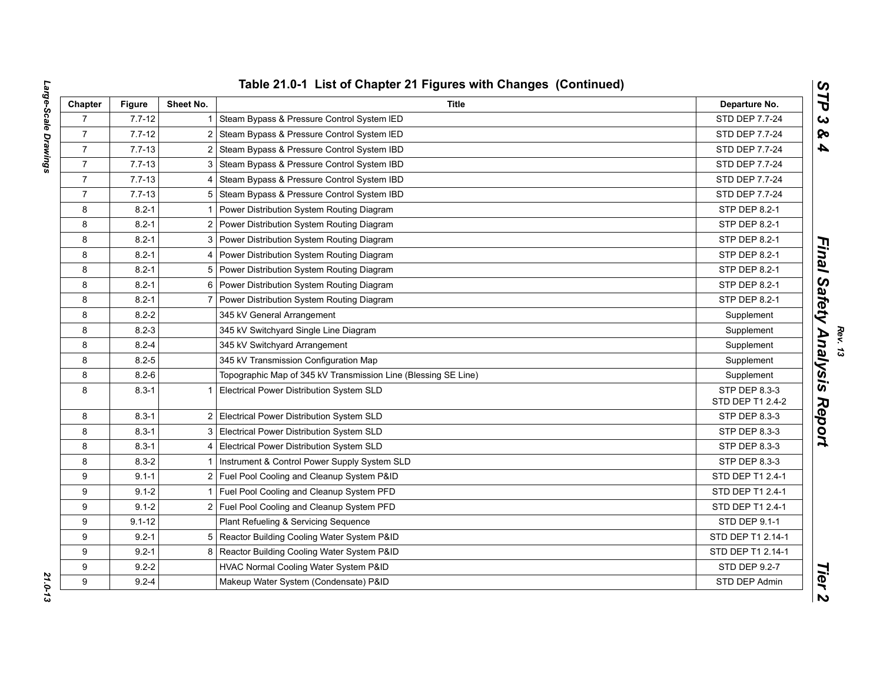| Chapter        | <b>Figure</b> | Sheet No. | <b>Title</b>                                                   | Departure No.                     |
|----------------|---------------|-----------|----------------------------------------------------------------|-----------------------------------|
| $\overline{7}$ | $7.7 - 12$    |           | Steam Bypass & Pressure Control System IED                     | STD DEP 7.7-24                    |
| $\overline{7}$ | $7.7 - 12$    |           | Steam Bypass & Pressure Control System IED                     | STD DEP 7.7-24                    |
| $\overline{7}$ | $7.7 - 13$    |           | Steam Bypass & Pressure Control System IBD                     | STD DEP 7.7-24                    |
| $\overline{7}$ | $7.7 - 13$    |           | Steam Bypass & Pressure Control System IBD                     | STD DEP 7.7-24                    |
| $\overline{7}$ | $7.7 - 13$    |           | Steam Bypass & Pressure Control System IBD                     | STD DEP 7.7-24                    |
| $\overline{7}$ | $7.7 - 13$    | 5         | Steam Bypass & Pressure Control System IBD                     | STD DEP 7.7-24                    |
| 8              | $8.2 - 1$     |           | Power Distribution System Routing Diagram                      | STP DEP 8.2-1                     |
| 8              | $8.2 - 1$     |           | Power Distribution System Routing Diagram                      | STP DEP 8.2-1                     |
| 8              | $8.2 - 1$     |           | Power Distribution System Routing Diagram                      | STP DEP 8.2-1                     |
| 8              | $8.2 - 1$     |           | Power Distribution System Routing Diagram                      | <b>STP DEP 8.2-1</b>              |
| 8              | $8.2 - 1$     | 5         | Power Distribution System Routing Diagram                      | STP DEP 8.2-1                     |
| 8              | $8.2 - 1$     |           | Power Distribution System Routing Diagram                      | STP DEP 8.2-1                     |
| 8              | $8.2 - 1$     |           | Power Distribution System Routing Diagram                      | STP DEP 8.2-1                     |
| 8              | $8.2 - 2$     |           | 345 kV General Arrangement                                     | Supplement                        |
| 8              | $8.2 - 3$     |           | 345 kV Switchyard Single Line Diagram                          | Supplement                        |
| 8              | $8.2 - 4$     |           | 345 kV Switchyard Arrangement                                  | Supplement                        |
| 8              | $8.2 - 5$     |           | 345 kV Transmission Configuration Map                          | Supplement                        |
| 8              | $8.2 - 6$     |           | Topographic Map of 345 kV Transmission Line (Blessing SE Line) | Supplement                        |
| 8              | $8.3 - 1$     |           | Electrical Power Distribution System SLD                       | STP DEP 8.3-3<br>STD DEP T1 2.4-2 |
| 8              | $8.3 - 1$     | 2         | Electrical Power Distribution System SLD                       | STP DEP 8.3-3                     |
| 8              | $8.3 - 1$     | 3         | Electrical Power Distribution System SLD                       | STP DEP 8.3-3                     |
| 8              | $8.3 - 1$     |           | Electrical Power Distribution System SLD                       | STP DEP 8.3-3                     |
| 8              | $8.3 - 2$     |           | Instrument & Control Power Supply System SLD                   | STP DEP 8.3-3                     |
| 9              | $9.1 - 1$     |           | Fuel Pool Cooling and Cleanup System P&ID                      | STD DEP T1 2.4-1                  |
| 9              | $9.1 - 2$     |           | Fuel Pool Cooling and Cleanup System PFD                       | STD DEP T1 2.4-1                  |
| 9              | $9.1 - 2$     |           | Fuel Pool Cooling and Cleanup System PFD                       | STD DEP T1 2.4-1                  |
| 9              | $9.1 - 12$    |           | Plant Refueling & Servicing Sequence                           | STD DEP 9.1-1                     |
| 9              | $9.2 - 1$     |           | 5 Reactor Building Cooling Water System P&ID                   | STD DEP T1 2.14-1                 |
| 9              | $9.2 - 1$     |           | Reactor Building Cooling Water System P&ID                     | STD DEP T1 2.14-1                 |
| 9              | $9.2 - 2$     |           | HVAC Normal Cooling Water System P&ID                          | STD DEP 9.2-7                     |
| 9              | $9.2 - 4$     |           | Makeup Water System (Condensate) P&ID                          | STD DEP Admin                     |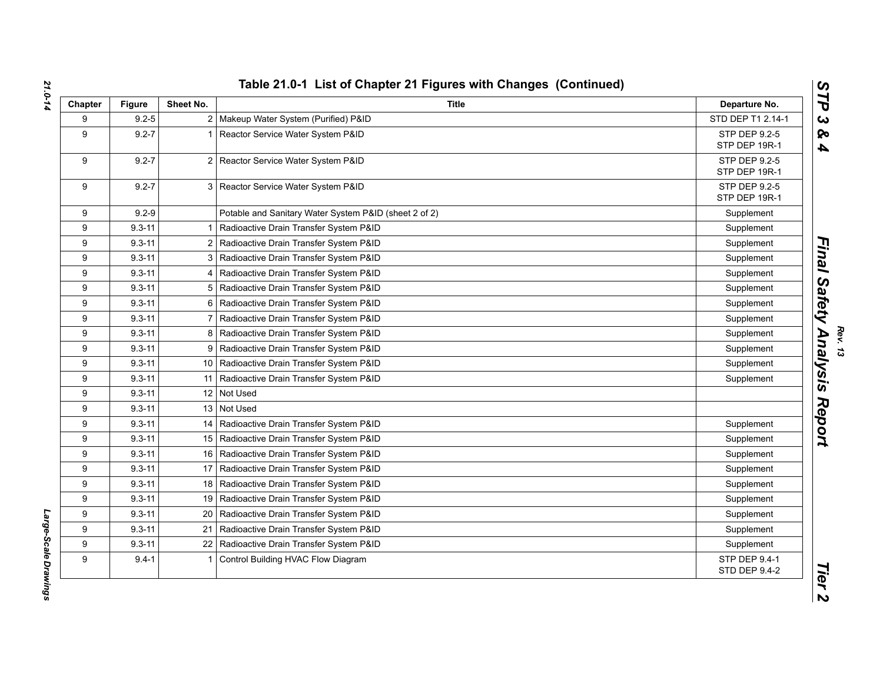| Chapter | Figure     | Sheet No.      | <b>Title</b>                                          | Departure No.                  |
|---------|------------|----------------|-------------------------------------------------------|--------------------------------|
| 9       | $9.2 - 5$  |                | 2 Makeup Water System (Purified) P&ID                 | STD DEP T1 2.14-1              |
| 9       | $9.2 - 7$  |                | Reactor Service Water System P&ID                     | STP DEP 9.2-5<br>STP DEP 19R-1 |
| 9       | $9.2 - 7$  |                | 2 Reactor Service Water System P&ID                   | STP DEP 9.2-5<br>STP DEP 19R-1 |
| 9       | $9.2 - 7$  |                | 3 Reactor Service Water System P&ID                   | STP DEP 9.2-5<br>STP DEP 19R-1 |
| 9       | $9.2 - 9$  |                | Potable and Sanitary Water System P&ID (sheet 2 of 2) | Supplement                     |
| 9       | $9.3 - 11$ |                | Radioactive Drain Transfer System P&ID                | Supplement                     |
| 9       | $9.3 - 11$ | $\overline{2}$ | Radioactive Drain Transfer System P&ID                | Supplement                     |
| 9       | $9.3 - 11$ | 3              | Radioactive Drain Transfer System P&ID                | Supplement                     |
| 9       | $9.3 - 11$ | 4              | Radioactive Drain Transfer System P&ID                | Supplement                     |
| 9       | $9.3 - 11$ | 5              | Radioactive Drain Transfer System P&ID                | Supplement                     |
| 9       | $9.3 - 11$ | 6              | Radioactive Drain Transfer System P&ID                | Supplement                     |
| 9       | $9.3 - 11$ | 7              | Radioactive Drain Transfer System P&ID                | Supplement                     |
| 9       | $9.3 - 11$ | 8              | Radioactive Drain Transfer System P&ID                | Supplement                     |
| 9       | $9.3 - 11$ | 9              | Radioactive Drain Transfer System P&ID                | Supplement                     |
| 9       | $9.3 - 11$ |                | 10 Radioactive Drain Transfer System P&ID             | Supplement                     |
| 9       | $9.3 - 11$ |                | 11   Radioactive Drain Transfer System P&ID           | Supplement                     |
| 9       | $9.3 - 11$ |                | 12 Not Used                                           |                                |
| 9       | $9.3 - 11$ |                | 13 Not Used                                           |                                |
| 9       | $9.3 - 11$ |                | 14   Radioactive Drain Transfer System P&ID           | Supplement                     |
| 9       | $9.3 - 11$ |                | 15 Radioactive Drain Transfer System P&ID             | Supplement                     |
| 9       | $9.3 - 11$ |                | 16 Radioactive Drain Transfer System P&ID             | Supplement                     |
| 9       | $9.3 - 11$ |                | 17   Radioactive Drain Transfer System P&ID           | Supplement                     |
| 9       | $9.3 - 11$ |                | 18   Radioactive Drain Transfer System P&ID           | Supplement                     |
| 9       | $9.3 - 11$ | 19             | Radioactive Drain Transfer System P&ID                | Supplement                     |
| 9       | $9.3 - 11$ | 20             | Radioactive Drain Transfer System P&ID                | Supplement                     |
| 9       | $9.3 - 11$ |                | 21   Radioactive Drain Transfer System P&ID           | Supplement                     |
| 9       | $9.3 - 11$ | 22             | Radioactive Drain Transfer System P&ID                | Supplement                     |
| 9       | $9.4 - 1$  |                | Control Building HVAC Flow Diagram                    | STP DEP 9.4-1<br>STD DEP 9.4-2 |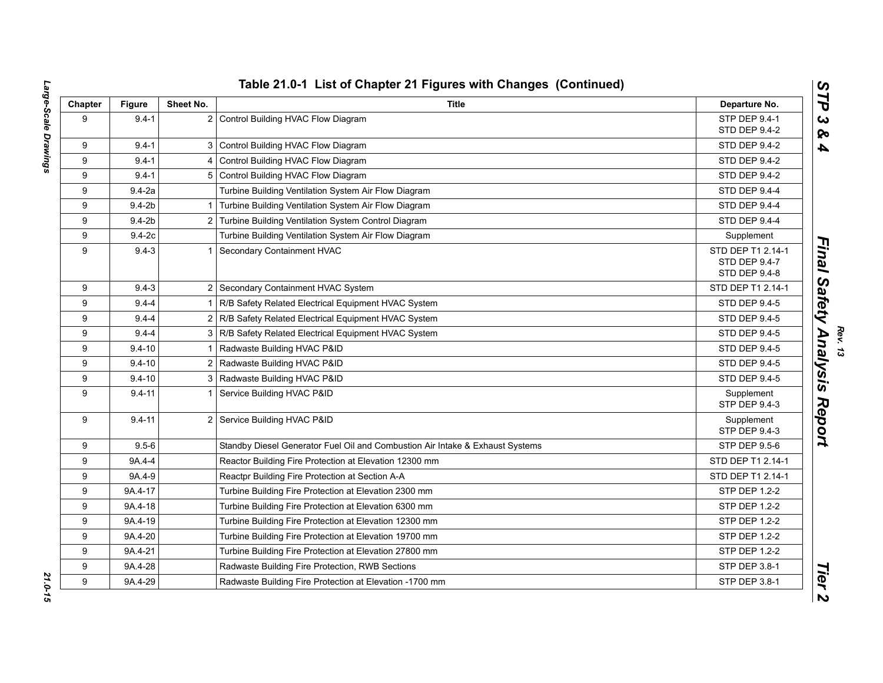| Chapter | <b>Figure</b> | Sheet No. | Title                                                                         | Departure No.                                       |
|---------|---------------|-----------|-------------------------------------------------------------------------------|-----------------------------------------------------|
| 9       | $9.4 - 1$     |           | 2 Control Building HVAC Flow Diagram                                          | STP DEP 9.4-1                                       |
|         |               |           |                                                                               | STD DEP 9.4-2                                       |
| 9       | $9.4 - 1$     |           | 3 Control Building HVAC Flow Diagram                                          | STD DEP 9.4-2                                       |
| 9       | $9.4 - 1$     |           | Control Building HVAC Flow Diagram                                            | STD DEP 9.4-2                                       |
| 9       | $9.4 - 1$     |           | 5 Control Building HVAC Flow Diagram                                          | STD DEP 9.4-2                                       |
| 9       | $9.4 - 2a$    |           | Turbine Building Ventilation System Air Flow Diagram                          | STD DEP 9.4-4                                       |
| 9       | $9.4 - 2b$    |           | Turbine Building Ventilation System Air Flow Diagram                          | STD DEP 9.4-4                                       |
| 9       | $9.4 - 2b$    | 2         | Turbine Building Ventilation System Control Diagram                           | STD DEP 9.4-4                                       |
| 9       | $9.4-2c$      |           | Turbine Building Ventilation System Air Flow Diagram                          | Supplement                                          |
| 9       | $9.4 - 3$     |           | Secondary Containment HVAC                                                    | STD DEP T1 2.14-1<br>STD DEP 9.4-7<br>STD DEP 9.4-8 |
| 9       | $9.4 - 3$     |           | 2 Secondary Containment HVAC System                                           | STD DEP T1 2.14-1                                   |
| 9       | $9.4 - 4$     |           | R/B Safety Related Electrical Equipment HVAC System                           | STD DEP 9.4-5                                       |
| 9       | $9.4 - 4$     |           | R/B Safety Related Electrical Equipment HVAC System                           | STD DEP 9.4-5                                       |
| 9       | $9.4 - 4$     |           | 3 R/B Safety Related Electrical Equipment HVAC System                         | STD DEP 9.4-5                                       |
| 9       | $9.4 - 10$    |           | Radwaste Building HVAC P&ID                                                   | STD DEP 9.4-5                                       |
| 9       | $9.4 - 10$    |           | 2 Radwaste Building HVAC P&ID                                                 | STD DEP 9.4-5                                       |
| 9       | $9.4 - 10$    |           | 3 Radwaste Building HVAC P&ID                                                 | <b>STD DEP 9.4-5</b>                                |
| 9       | $9.4 - 11$    |           | 1 Service Building HVAC P&ID                                                  | Supplement<br>STP DEP 9.4-3                         |
| 9       | $9.4 - 11$    |           | 2 Service Building HVAC P&ID                                                  | Supplement<br><b>STP DEP 9.4-3</b>                  |
| 9       | $9.5 - 6$     |           | Standby Diesel Generator Fuel Oil and Combustion Air Intake & Exhaust Systems | STP DEP 9.5-6                                       |
| 9       | 9A.4-4        |           | Reactor Building Fire Protection at Elevation 12300 mm                        | STD DEP T1 2.14-1                                   |
| 9       | 9A.4-9        |           | Reactpr Building Fire Protection at Section A-A                               | STD DEP T1 2.14-1                                   |
| 9       | 9A.4-17       |           | Turbine Building Fire Protection at Elevation 2300 mm                         | STP DEP 1.2-2                                       |
| 9       | 9A.4-18       |           | Turbine Building Fire Protection at Elevation 6300 mm                         | STP DEP 1.2-2                                       |
| 9       | 9A.4-19       |           | Turbine Building Fire Protection at Elevation 12300 mm                        | STP DEP 1.2-2                                       |
| 9       | 9A.4-20       |           | Turbine Building Fire Protection at Elevation 19700 mm                        | STP DEP 1.2-2                                       |
| 9       | 9A.4-21       |           | Turbine Building Fire Protection at Elevation 27800 mm                        | <b>STP DEP 1.2-2</b>                                |
| 9       | 9A.4-28       |           | Radwaste Building Fire Protection, RWB Sections                               | STP DEP 3.8-1                                       |
| 9       | 9A.4-29       |           | Radwaste Building Fire Protection at Elevation -1700 mm                       | STP DEP 3.8-1                                       |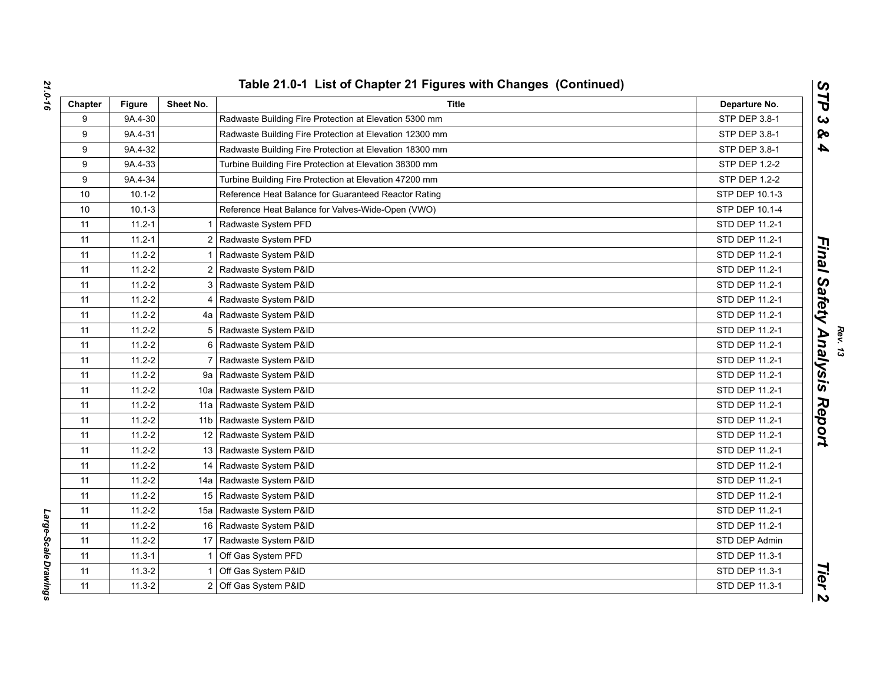| Chapter | <b>Figure</b> | Sheet No.      | <b>Title</b>                                            | Departure No.  |
|---------|---------------|----------------|---------------------------------------------------------|----------------|
| 9       | 9A.4-30       |                | Radwaste Building Fire Protection at Elevation 5300 mm  | STP DEP 3.8-1  |
| 9       | 9A.4-31       |                | Radwaste Building Fire Protection at Elevation 12300 mm | STP DEP 3.8-1  |
| 9       | 9A.4-32       |                | Radwaste Building Fire Protection at Elevation 18300 mm | STP DEP 3.8-1  |
| 9       | 9A.4-33       |                | Turbine Building Fire Protection at Elevation 38300 mm  | STP DEP 1.2-2  |
| 9       | 9A.4-34       |                | Turbine Building Fire Protection at Elevation 47200 mm  | STP DEP 1.2-2  |
| 10      | $10.1 - 2$    |                | Reference Heat Balance for Guaranteed Reactor Rating    | STP DEP 10.1-3 |
| 10      | $10.1 - 3$    |                | Reference Heat Balance for Valves-Wide-Open (VWO)       | STP DEP 10.1-4 |
| 11      | $11.2 - 1$    | $\mathbf{1}$   | Radwaste System PFD                                     | STD DEP 11.2-1 |
| 11      | $11.2 - 1$    |                | 2 Radwaste System PFD                                   | STD DEP 11.2-1 |
| 11      | $11.2 - 2$    |                | Radwaste System P&ID                                    | STD DEP 11.2-1 |
| 11      | $11.2 - 2$    | $\overline{2}$ | Radwaste System P&ID                                    | STD DEP 11.2-1 |
| 11      | $11.2 - 2$    |                | 3 Radwaste System P&ID                                  | STD DEP 11.2-1 |
| 11      | $11.2 - 2$    |                | 4 Radwaste System P&ID                                  | STD DEP 11.2-1 |
| 11      | $11.2 - 2$    |                | 4a   Radwaste System P&ID                               | STD DEP 11.2-1 |
| 11      | $11.2 - 2$    |                | 5   Radwaste System P&ID                                | STD DEP 11.2-1 |
| 11      | $11.2 - 2$    | 6              | Radwaste System P&ID                                    | STD DEP 11.2-1 |
| 11      | $11.2 - 2$    |                | Radwaste System P&ID                                    | STD DEP 11.2-1 |
| 11      | $11.2 - 2$    |                | 9a   Radwaste System P&ID                               | STD DEP 11.2-1 |
| 11      | $11.2 - 2$    |                | 10a   Radwaste System P&ID                              | STD DEP 11.2-1 |
| 11      | $11.2 - 2$    |                | 11a   Radwaste System P&ID                              | STD DEP 11.2-1 |
| 11      | $11.2 - 2$    |                | 11b   Radwaste System P&ID                              | STD DEP 11.2-1 |
| 11      | $11.2 - 2$    |                | 12 Radwaste System P&ID                                 | STD DEP 11.2-1 |
| 11      | $11.2 - 2$    |                | 13 Radwaste System P&ID                                 | STD DEP 11.2-1 |
| 11      | $11.2 - 2$    |                | 14 Radwaste System P&ID                                 | STD DEP 11.2-1 |
| 11      | $11.2 - 2$    |                | 14a   Radwaste System P&ID                              | STD DEP 11.2-1 |
| 11      | $11.2 - 2$    |                | 15 Radwaste System P&ID                                 | STD DEP 11.2-1 |
| 11      | $11.2 - 2$    |                | 15a   Radwaste System P&ID                              | STD DEP 11.2-1 |
| 11      | $11.2 - 2$    |                | 16 Radwaste System P&ID                                 | STD DEP 11.2-1 |
| 11      | $11.2 - 2$    |                | 17 Radwaste System P&ID                                 | STD DEP Admin  |
| 11      | $11.3 - 1$    |                | Off Gas System PFD                                      | STD DEP 11.3-1 |
| 11      | $11.3 - 2$    | $\overline{1}$ | Off Gas System P&ID                                     | STD DEP 11.3-1 |
| 11      | $11.3 - 2$    |                | 2 Off Gas System P&ID                                   | STD DEP 11.3-1 |